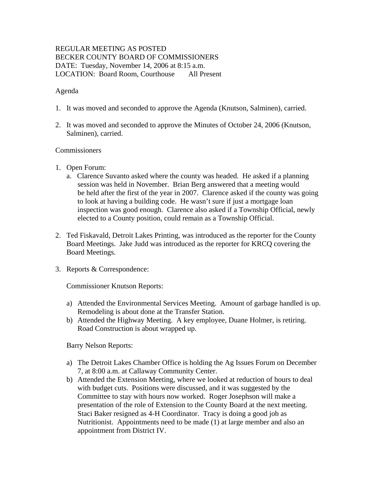# REGULAR MEETING AS POSTED BECKER COUNTY BOARD OF COMMISSIONERS DATE: Tuesday, November 14, 2006 at 8:15 a.m. LOCATION: Board Room, Courthouse All Present

## Agenda

- 1. It was moved and seconded to approve the Agenda (Knutson, Salminen), carried.
- 2. It was moved and seconded to approve the Minutes of October 24, 2006 (Knutson, Salminen), carried.

#### Commissioners

- 1. Open Forum:
	- a. Clarence Suvanto asked where the county was headed. He asked if a planning session was held in November. Brian Berg answered that a meeting would be held after the first of the year in 2007. Clarence asked if the county was going to look at having a building code. He wasn't sure if just a mortgage loan inspection was good enough. Clarence also asked if a Township Official, newly elected to a County position, could remain as a Township Official.
- 2. Ted Fiskavald, Detroit Lakes Printing, was introduced as the reporter for the County Board Meetings. Jake Judd was introduced as the reporter for KRCQ covering the Board Meetings.
- 3. Reports & Correspondence:

Commissioner Knutson Reports:

- a) Attended the Environmental Services Meeting. Amount of garbage handled is up. Remodeling is about done at the Transfer Station.
- b) Attended the Highway Meeting. A key employee, Duane Holmer, is retiring. Road Construction is about wrapped up.

Barry Nelson Reports:

- a) The Detroit Lakes Chamber Office is holding the Ag Issues Forum on December 7, at 8:00 a.m. at Callaway Community Center.
- b) Attended the Extension Meeting, where we looked at reduction of hours to deal with budget cuts. Positions were discussed, and it was suggested by the Committee to stay with hours now worked. Roger Josephson will make a presentation of the role of Extension to the County Board at the next meeting. Staci Baker resigned as 4-H Coordinator. Tracy is doing a good job as Nutritionist. Appointments need to be made (1) at large member and also an appointment from District IV.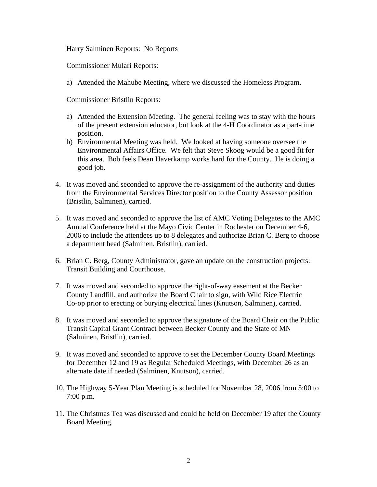Harry Salminen Reports: No Reports

Commissioner Mulari Reports:

a) Attended the Mahube Meeting, where we discussed the Homeless Program.

Commissioner Bristlin Reports:

- a) Attended the Extension Meeting. The general feeling was to stay with the hours of the present extension educator, but look at the 4-H Coordinator as a part-time position.
- b) Environmental Meeting was held. We looked at having someone oversee the Environmental Affairs Office. We felt that Steve Skoog would be a good fit for this area. Bob feels Dean Haverkamp works hard for the County. He is doing a good job.
- 4. It was moved and seconded to approve the re-assignment of the authority and duties from the Environmental Services Director position to the County Assessor position (Bristlin, Salminen), carried.
- 5. It was moved and seconded to approve the list of AMC Voting Delegates to the AMC Annual Conference held at the Mayo Civic Center in Rochester on December 4-6, 2006 to include the attendees up to 8 delegates and authorize Brian C. Berg to choose a department head (Salminen, Bristlin), carried.
- 6. Brian C. Berg, County Administrator, gave an update on the construction projects: Transit Building and Courthouse.
- 7. It was moved and seconded to approve the right-of-way easement at the Becker County Landfill, and authorize the Board Chair to sign, with Wild Rice Electric Co-op prior to erecting or burying electrical lines (Knutson, Salminen), carried.
- 8. It was moved and seconded to approve the signature of the Board Chair on the Public Transit Capital Grant Contract between Becker County and the State of MN (Salminen, Bristlin), carried.
- 9. It was moved and seconded to approve to set the December County Board Meetings for December 12 and 19 as Regular Scheduled Meetings, with December 26 as an alternate date if needed (Salminen, Knutson), carried.
- 10. The Highway 5-Year Plan Meeting is scheduled for November 28, 2006 from 5:00 to 7:00 p.m.
- 11. The Christmas Tea was discussed and could be held on December 19 after the County Board Meeting.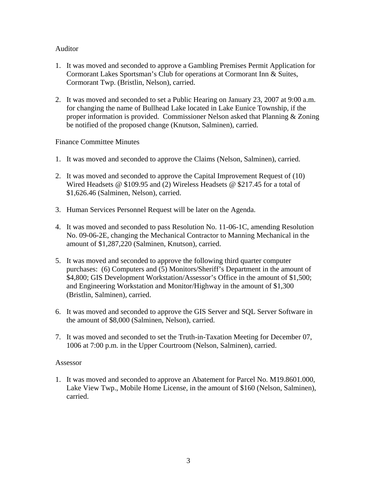## Auditor

- 1. It was moved and seconded to approve a Gambling Premises Permit Application for Cormorant Lakes Sportsman's Club for operations at Cormorant Inn & Suites, Cormorant Twp. (Bristlin, Nelson), carried.
- 2. It was moved and seconded to set a Public Hearing on January 23, 2007 at 9:00 a.m. for changing the name of Bullhead Lake located in Lake Eunice Township, if the proper information is provided. Commissioner Nelson asked that Planning & Zoning be notified of the proposed change (Knutson, Salminen), carried.

## Finance Committee Minutes

- 1. It was moved and seconded to approve the Claims (Nelson, Salminen), carried.
- 2. It was moved and seconded to approve the Capital Improvement Request of (10) Wired Headsets @ \$109.95 and (2) Wireless Headsets @ \$217.45 for a total of \$1,626.46 (Salminen, Nelson), carried.
- 3. Human Services Personnel Request will be later on the Agenda.
- 4. It was moved and seconded to pass Resolution No. 11-06-1C, amending Resolution No. 09-06-2E, changing the Mechanical Contractor to Manning Mechanical in the amount of \$1,287,220 (Salminen, Knutson), carried.
- 5. It was moved and seconded to approve the following third quarter computer purchases: (6) Computers and (5) Monitors/Sheriff's Department in the amount of \$4,800; GIS Development Workstation/Assessor's Office in the amount of \$1,500; and Engineering Workstation and Monitor/Highway in the amount of \$1,300 (Bristlin, Salminen), carried.
- 6. It was moved and seconded to approve the GIS Server and SQL Server Software in the amount of \$8,000 (Salminen, Nelson), carried.
- 7. It was moved and seconded to set the Truth-in-Taxation Meeting for December 07, 1006 at 7:00 p.m. in the Upper Courtroom (Nelson, Salminen), carried.

#### Assessor

1. It was moved and seconded to approve an Abatement for Parcel No. M19.8601.000, Lake View Twp., Mobile Home License, in the amount of \$160 (Nelson, Salminen), carried.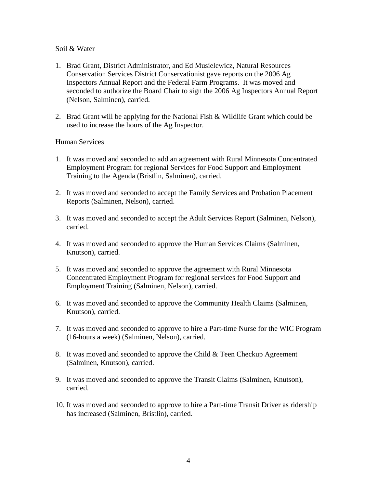#### Soil & Water

- 1. Brad Grant, District Administrator, and Ed Musielewicz, Natural Resources Conservation Services District Conservationist gave reports on the 2006 Ag Inspectors Annual Report and the Federal Farm Programs. It was moved and seconded to authorize the Board Chair to sign the 2006 Ag Inspectors Annual Report (Nelson, Salminen), carried.
- 2. Brad Grant will be applying for the National Fish & Wildlife Grant which could be used to increase the hours of the Ag Inspector.

## Human Services

- 1. It was moved and seconded to add an agreement with Rural Minnesota Concentrated Employment Program for regional Services for Food Support and Employment Training to the Agenda (Bristlin, Salminen), carried.
- 2. It was moved and seconded to accept the Family Services and Probation Placement Reports (Salminen, Nelson), carried.
- 3. It was moved and seconded to accept the Adult Services Report (Salminen, Nelson), carried.
- 4. It was moved and seconded to approve the Human Services Claims (Salminen, Knutson), carried.
- 5. It was moved and seconded to approve the agreement with Rural Minnesota Concentrated Employment Program for regional services for Food Support and Employment Training (Salminen, Nelson), carried.
- 6. It was moved and seconded to approve the Community Health Claims (Salminen, Knutson), carried.
- 7. It was moved and seconded to approve to hire a Part-time Nurse for the WIC Program (16-hours a week) (Salminen, Nelson), carried.
- 8. It was moved and seconded to approve the Child & Teen Checkup Agreement (Salminen, Knutson), carried.
- 9. It was moved and seconded to approve the Transit Claims (Salminen, Knutson), carried.
- 10. It was moved and seconded to approve to hire a Part-time Transit Driver as ridership has increased (Salminen, Bristlin), carried.